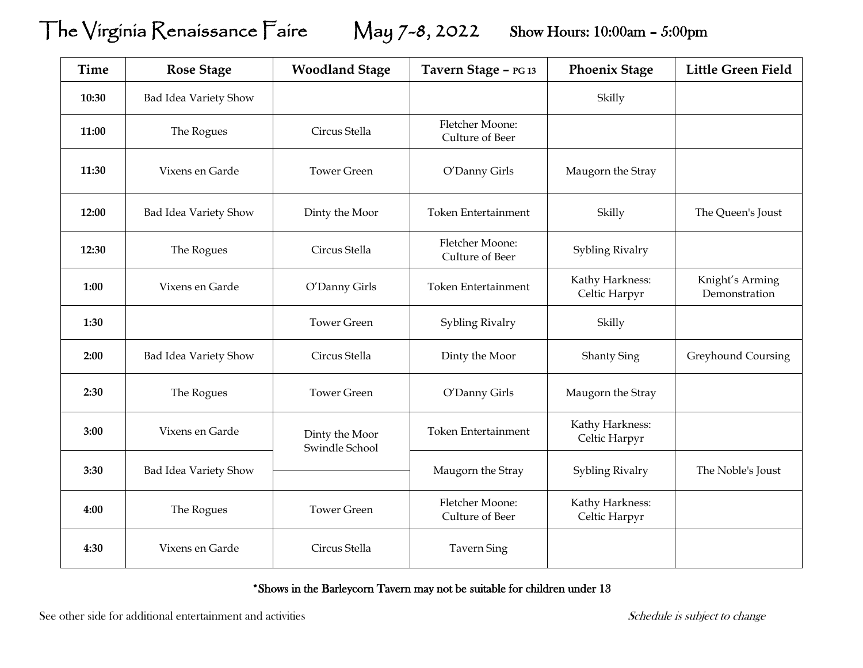## The Virginia Renaissance Faire May 7-8, 2022 Show Hours: 10:00am – 5:00pm

| <b>Time</b> | <b>Rose Stage</b>     | <b>Woodland Stage</b>            | Tavern Stage - PG 13               | <b>Phoenix Stage</b>             | <b>Little Green Field</b>        |
|-------------|-----------------------|----------------------------------|------------------------------------|----------------------------------|----------------------------------|
| 10:30       | Bad Idea Variety Show |                                  |                                    | Skilly                           |                                  |
| 11:00       | The Rogues            | Circus Stella                    | Fletcher Moone:<br>Culture of Beer |                                  |                                  |
| 11:30       | Vixens en Garde       | <b>Tower Green</b>               | O'Danny Girls                      | Maugorn the Stray                |                                  |
| 12:00       | Bad Idea Variety Show | Dinty the Moor                   | <b>Token Entertainment</b>         | Skilly                           | The Queen's Joust                |
| 12:30       | The Rogues            | Circus Stella                    | Fletcher Moone:<br>Culture of Beer | Sybling Rivalry                  |                                  |
| 1:00        | Vixens en Garde       | O'Danny Girls                    | <b>Token Entertainment</b>         | Kathy Harkness:<br>Celtic Harpyr | Knight's Arming<br>Demonstration |
| 1:30        |                       | <b>Tower Green</b>               | Sybling Rivalry                    | Skilly                           |                                  |
| 2:00        | Bad Idea Variety Show | Circus Stella                    | Dinty the Moor                     | <b>Shanty Sing</b>               | Greyhound Coursing               |
| 2:30        | The Rogues            | <b>Tower Green</b>               | O'Danny Girls                      | Maugorn the Stray                |                                  |
| 3:00        | Vixens en Garde       | Dinty the Moor<br>Swindle School | <b>Token Entertainment</b>         | Kathy Harkness:<br>Celtic Harpyr |                                  |
| 3:30        | Bad Idea Variety Show |                                  | Maugorn the Stray                  | Sybling Rivalry                  | The Noble's Joust                |
| 4:00        | The Rogues            | <b>Tower Green</b>               | Fletcher Moone:<br>Culture of Beer | Kathy Harkness:<br>Celtic Harpyr |                                  |
| 4:30        | Vixens en Garde       | Circus Stella                    | <b>Tavern Sing</b>                 |                                  |                                  |

\*Shows in the Barleycorn Tavern may not be suitable for children under 13